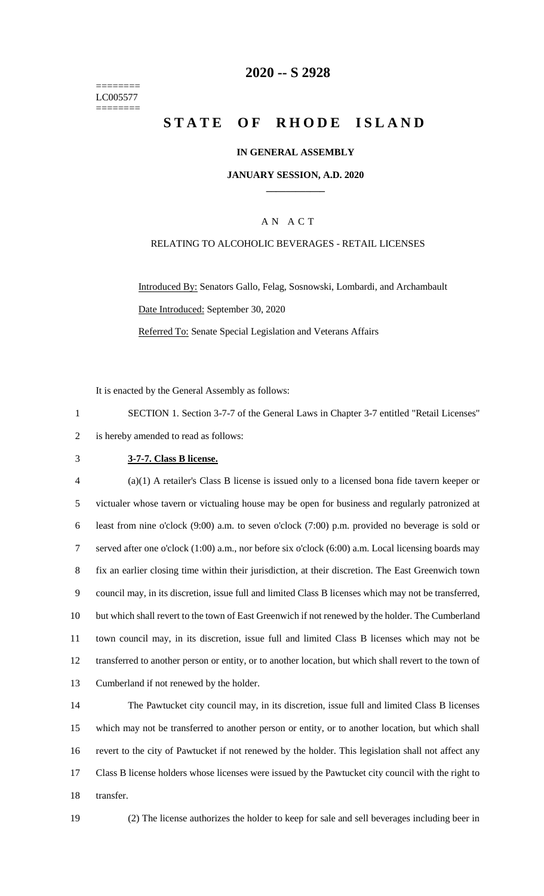======== LC005577 ========

## **-- S 2928**

# **STATE OF RHODE ISLAND**

#### **IN GENERAL ASSEMBLY**

#### **JANUARY SESSION, A.D. 2020 \_\_\_\_\_\_\_\_\_\_\_\_**

### A N A C T

## RELATING TO ALCOHOLIC BEVERAGES - RETAIL LICENSES

Introduced By: Senators Gallo, Felag, Sosnowski, Lombardi, and Archambault Date Introduced: September 30, 2020 Referred To: Senate Special Legislation and Veterans Affairs

It is enacted by the General Assembly as follows:

 SECTION 1. Section 3-7-7 of the General Laws in Chapter 3-7 entitled "Retail Licenses" is hereby amended to read as follows:

#### **3-7-7. Class B license.**

 (a)(1) A retailer's Class B license is issued only to a licensed bona fide tavern keeper or victualer whose tavern or victualing house may be open for business and regularly patronized at least from nine o'clock (9:00) a.m. to seven o'clock (7:00) p.m. provided no beverage is sold or served after one o'clock (1:00) a.m., nor before six o'clock (6:00) a.m. Local licensing boards may fix an earlier closing time within their jurisdiction, at their discretion. The East Greenwich town council may, in its discretion, issue full and limited Class B licenses which may not be transferred, but which shall revert to the town of East Greenwich if not renewed by the holder. The Cumberland town council may, in its discretion, issue full and limited Class B licenses which may not be transferred to another person or entity, or to another location, but which shall revert to the town of Cumberland if not renewed by the holder.

 The Pawtucket city council may, in its discretion, issue full and limited Class B licenses which may not be transferred to another person or entity, or to another location, but which shall revert to the city of Pawtucket if not renewed by the holder. This legislation shall not affect any Class B license holders whose licenses were issued by the Pawtucket city council with the right to transfer.

(2) The license authorizes the holder to keep for sale and sell beverages including beer in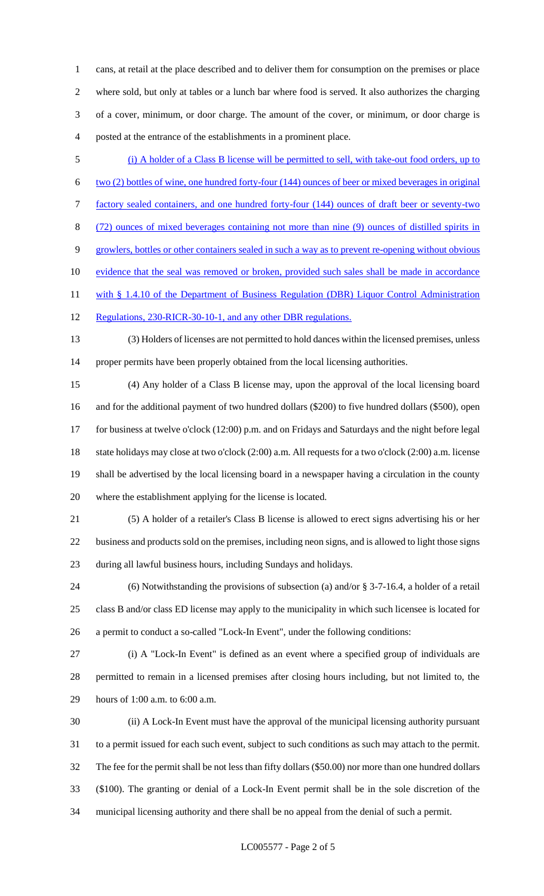cans, at retail at the place described and to deliver them for consumption on the premises or place where sold, but only at tables or a lunch bar where food is served. It also authorizes the charging of a cover, minimum, or door charge. The amount of the cover, or minimum, or door charge is posted at the entrance of the establishments in a prominent place.

- (i) A holder of a Class B license will be permitted to sell, with take-out food orders, up to two (2) bottles of wine, one hundred forty-four (144) ounces of beer or mixed beverages in original factory sealed containers, and one hundred forty-four (144) ounces of draft beer or seventy-two (72) ounces of mixed beverages containing not more than nine (9) ounces of distilled spirits in growlers, bottles or other containers sealed in such a way as to prevent re-opening without obvious 10 evidence that the seal was removed or broken, provided such sales shall be made in accordance 11 with § 1.4.10 of the Department of Business Regulation (DBR) Liquor Control Administration 12 Regulations, 230-RICR-30-10-1, and any other DBR regulations.
- (3) Holders of licenses are not permitted to hold dances within the licensed premises, unless proper permits have been properly obtained from the local licensing authorities.
- (4) Any holder of a Class B license may, upon the approval of the local licensing board and for the additional payment of two hundred dollars (\$200) to five hundred dollars (\$500), open for business at twelve o'clock (12:00) p.m. and on Fridays and Saturdays and the night before legal state holidays may close at two o'clock (2:00) a.m. All requests for a two o'clock (2:00) a.m. license shall be advertised by the local licensing board in a newspaper having a circulation in the county where the establishment applying for the license is located.
- (5) A holder of a retailer's Class B license is allowed to erect signs advertising his or her business and products sold on the premises, including neon signs, and is allowed to light those signs during all lawful business hours, including Sundays and holidays.
- (6) Notwithstanding the provisions of subsection (a) and/or § 3-7-16.4, a holder of a retail class B and/or class ED license may apply to the municipality in which such licensee is located for a permit to conduct a so-called "Lock-In Event", under the following conditions:
- (i) A "Lock-In Event" is defined as an event where a specified group of individuals are permitted to remain in a licensed premises after closing hours including, but not limited to, the hours of 1:00 a.m. to 6:00 a.m.
- (ii) A Lock-In Event must have the approval of the municipal licensing authority pursuant to a permit issued for each such event, subject to such conditions as such may attach to the permit. The fee for the permit shall be not less than fifty dollars (\$50.00) nor more than one hundred dollars (\$100). The granting or denial of a Lock-In Event permit shall be in the sole discretion of the municipal licensing authority and there shall be no appeal from the denial of such a permit.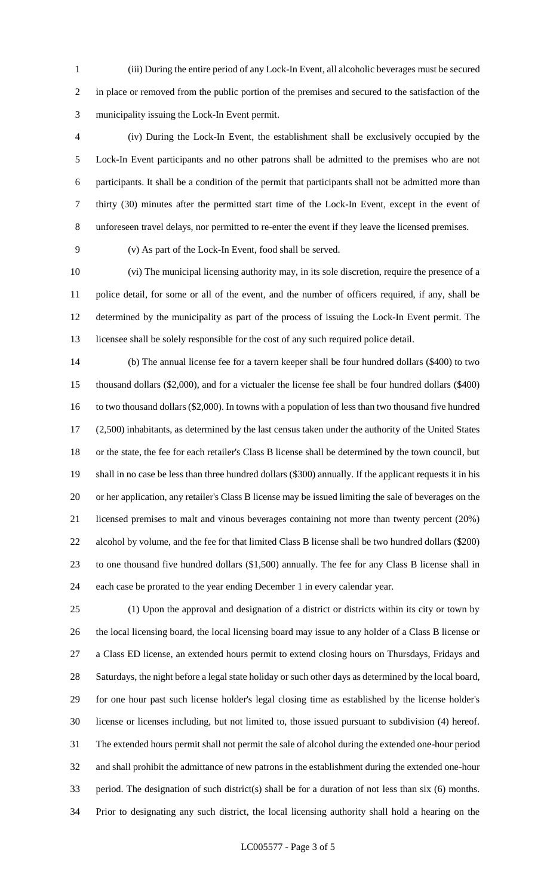(iii) During the entire period of any Lock-In Event, all alcoholic beverages must be secured in place or removed from the public portion of the premises and secured to the satisfaction of the municipality issuing the Lock-In Event permit.

 (iv) During the Lock-In Event, the establishment shall be exclusively occupied by the Lock-In Event participants and no other patrons shall be admitted to the premises who are not participants. It shall be a condition of the permit that participants shall not be admitted more than thirty (30) minutes after the permitted start time of the Lock-In Event, except in the event of unforeseen travel delays, nor permitted to re-enter the event if they leave the licensed premises.

(v) As part of the Lock-In Event, food shall be served.

 (vi) The municipal licensing authority may, in its sole discretion, require the presence of a police detail, for some or all of the event, and the number of officers required, if any, shall be determined by the municipality as part of the process of issuing the Lock-In Event permit. The licensee shall be solely responsible for the cost of any such required police detail.

 (b) The annual license fee for a tavern keeper shall be four hundred dollars (\$400) to two thousand dollars (\$2,000), and for a victualer the license fee shall be four hundred dollars (\$400) to two thousand dollars (\$2,000). In towns with a population of less than two thousand five hundred (2,500) inhabitants, as determined by the last census taken under the authority of the United States or the state, the fee for each retailer's Class B license shall be determined by the town council, but shall in no case be less than three hundred dollars (\$300) annually. If the applicant requests it in his or her application, any retailer's Class B license may be issued limiting the sale of beverages on the licensed premises to malt and vinous beverages containing not more than twenty percent (20%) alcohol by volume, and the fee for that limited Class B license shall be two hundred dollars (\$200) to one thousand five hundred dollars (\$1,500) annually. The fee for any Class B license shall in each case be prorated to the year ending December 1 in every calendar year.

 (1) Upon the approval and designation of a district or districts within its city or town by the local licensing board, the local licensing board may issue to any holder of a Class B license or a Class ED license, an extended hours permit to extend closing hours on Thursdays, Fridays and Saturdays, the night before a legal state holiday or such other days as determined by the local board, for one hour past such license holder's legal closing time as established by the license holder's license or licenses including, but not limited to, those issued pursuant to subdivision (4) hereof. The extended hours permit shall not permit the sale of alcohol during the extended one-hour period and shall prohibit the admittance of new patrons in the establishment during the extended one-hour period. The designation of such district(s) shall be for a duration of not less than six (6) months. Prior to designating any such district, the local licensing authority shall hold a hearing on the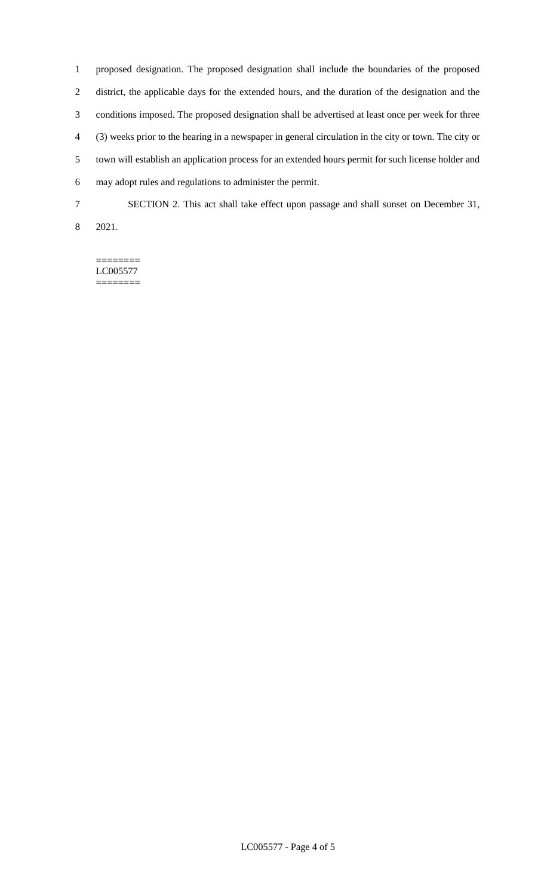proposed designation. The proposed designation shall include the boundaries of the proposed district, the applicable days for the extended hours, and the duration of the designation and the conditions imposed. The proposed designation shall be advertised at least once per week for three (3) weeks prior to the hearing in a newspaper in general circulation in the city or town. The city or town will establish an application process for an extended hours permit for such license holder and may adopt rules and regulations to administer the permit. SECTION 2. This act shall take effect upon passage and shall sunset on December 31,

2021.

======== LC005577 ========